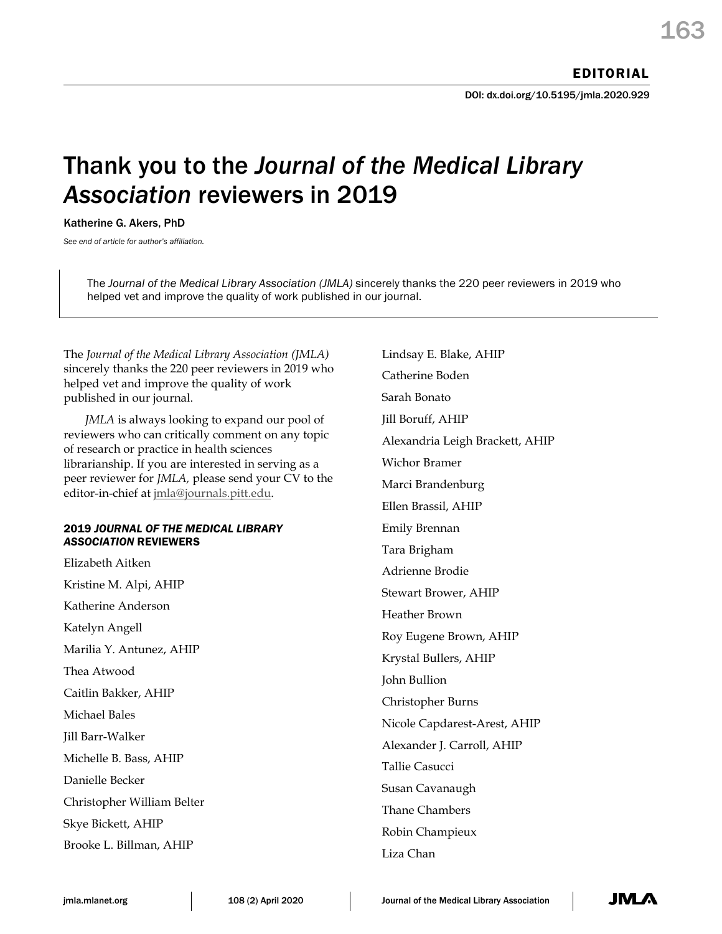DOI: dx.doi.org/10.5195/jmla.2020.929

## Thank you to the *Journal of the Medical Library Association* reviewers in 2019

Katherine G. Akers, PhD

*See end of article for author's affiliation.*

The *Journal of the Medical Library Association (JMLA)* sincerely thanks the 220 peer reviewers in 2019 who helped vet and improve the quality of work published in our journal.

The *Journal of the Medical Library Association (JMLA)* sincerely thanks the 220 peer reviewers in 2019 who helped vet and improve the quality of work published in our journal.

*JMLA* is always looking to expand our pool of reviewers who can critically comment on any topic of research or practice in health sciences librarianship. If you are interested in serving as a peer reviewer for *JMLA,* please send your CV to the editor-in-chief at jmla@journals.pitt.edu.

## 2019 *JOURNAL OF THE MEDICAL LIBRARY ASSOCIATION* REVIEWERS

Elizabeth Aitken Kristine M. Alpi, AHIP Katherine Anderson Katelyn Angell Marilia Y. Antunez, AHIP Thea Atwood Caitlin Bakker, AHIP Michael Bales Jill Barr-Walker Michelle B. Bass, AHIP Danielle Becker Christopher William Belter Skye Bickett, AHIP Brooke L. Billman, AHIP

Lindsay E. Blake, AHIP Catherine Boden Sarah Bonato Jill Boruff, AHIP Alexandria Leigh Brackett, AHIP Wichor Bramer Marci Brandenburg Ellen Brassil, AHIP Emily Brennan Tara Brigham Adrienne Brodie Stewart Brower, AHIP Heather Brown Roy Eugene Brown, AHIP Krystal Bullers, AHIP John Bullion Christopher Burns Nicole Capdarest-Arest, AHIP Alexander J. Carroll, AHIP Tallie Casucci Susan Cavanaugh Thane Chambers Robin Champieux

Liza Chan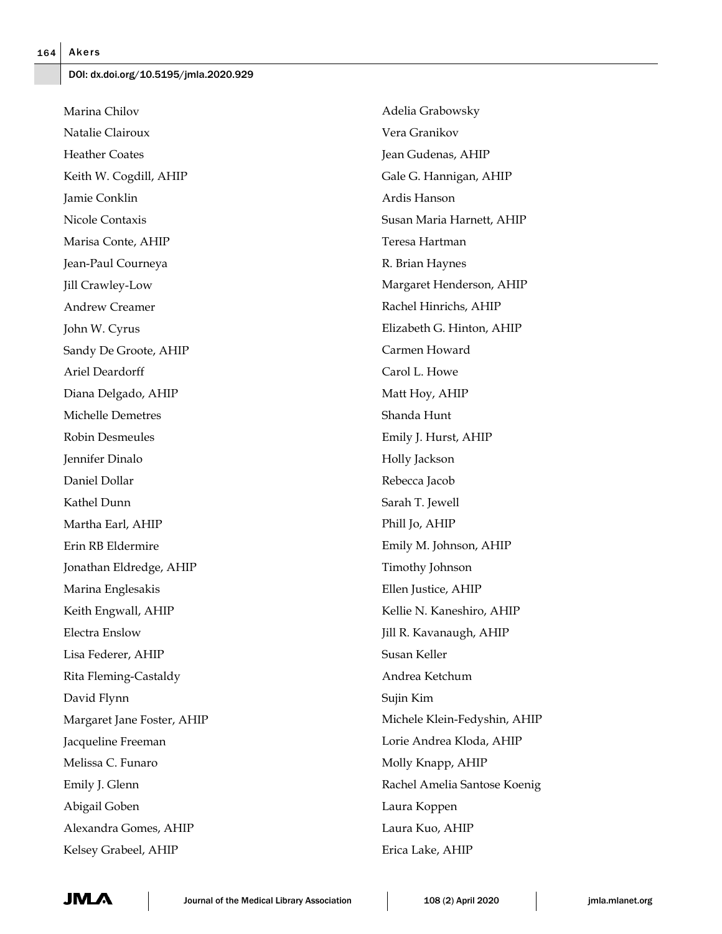Marina Chilov Natalie Clairoux Heather Coates Keith W. Cogdill, AHIP Jamie Conklin Nicole Contaxis Marisa Conte, AHIP Jean-Paul Courneya Jill Crawley-Low Andrew Creamer John W. Cyrus Sandy De Groote, AHIP Ariel Deardorff Diana Delgado, AHIP Michelle Demetres Robin Desmeules Jennifer Dinalo Daniel Dollar Kathel Dunn Martha Earl, AHIP Erin RB Eldermire Jonathan Eldredge, AHIP Marina Englesakis Keith Engwall, AHIP Electra Enslow Lisa Federer, AHIP Rita Fleming-Castaldy David Flynn Margaret Jane Foster, AHIP Jacqueline Freeman Melissa C. Funaro Emily J. Glenn Abigail Goben Alexandra Gomes, AHIP Kelsey Grabeel, AHIP

Adelia Grabowsky Vera Granikov Jean Gudenas, AHIP Gale G. Hannigan, AHIP Ardis Hanson Susan Maria Harnett, AHIP Teresa Hartman R. Brian Haynes Margaret Henderson, AHIP Rachel Hinrichs, AHIP Elizabeth G. Hinton, AHIP Carmen Howard Carol L. Howe Matt Hoy, AHIP Shanda Hunt Emily J. Hurst, AHIP Holly Jackson Rebecca Jacob Sarah T. Jewell Phill Jo, AHIP Emily M. Johnson, AHIP Timothy Johnson Ellen Justice, AHIP Kellie N. Kaneshiro, AHIP Jill R. Kavanaugh, AHIP Susan Keller Andrea Ketchum Sujin Kim Michele Klein-Fedyshin, AHIP Lorie Andrea Kloda, AHIP Molly Knapp, AHIP Rachel Amelia Santose Koenig Laura Koppen Laura Kuo, AHIP Erica Lake, AHIP

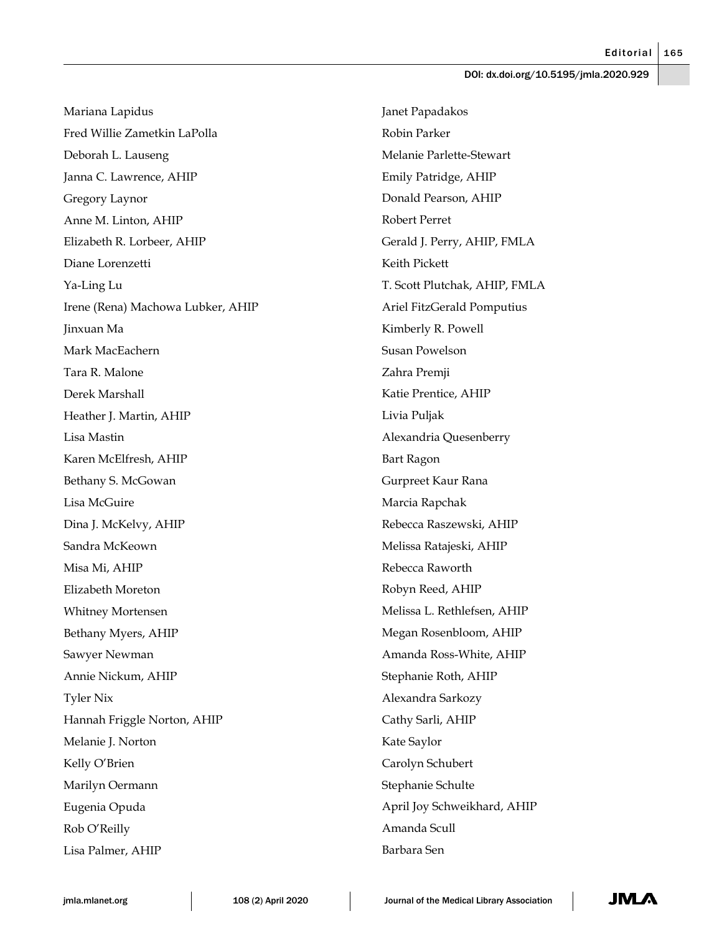Mariana Lapidus Fred Willie Zametkin LaPolla Deborah L. Lauseng Janna C. Lawrence, AHIP Gregory Laynor Anne M. Linton, AHIP Elizabeth R. Lorbeer, AHIP Diane Lorenzetti Ya-Ling Lu Irene (Rena) Machowa Lubker, AHIP Jinxuan Ma Mark MacEachern Tara R. Malone Derek Marshall Heather J. Martin, AHIP Lisa Mastin Karen McElfresh, AHIP Bethany S. McGowan Lisa McGuire Dina J. McKelvy, AHIP Sandra McKeown Misa Mi, AHIP Elizabeth Moreton Whitney Mortensen Bethany Myers, AHIP Sawyer Newman Annie Nickum, AHIP Tyler Nix Hannah Friggle Norton, AHIP Melanie J. Norton Kelly O'Brien Marilyn Oermann Eugenia Opuda Rob O'Reilly Lisa Palmer, AHIP

Janet Papadakos Robin Parker Melanie Parlette-Stewart Emily Patridge, AHIP Donald Pearson, AHIP Robert Perret Gerald J. Perry, AHIP, FMLA Keith Pickett T. Scott Plutchak, AHIP, FMLA Ariel FitzGerald Pomputius Kimberly R. Powell Susan Powelson Zahra Premji Katie Prentice, AHIP Livia Puljak Alexandria Quesenberry Bart Ragon Gurpreet Kaur Rana Marcia Rapchak Rebecca Raszewski, AHIP Melissa Ratajeski, AHIP Rebecca Raworth Robyn Reed, AHIP Melissa L. Rethlefsen, AHIP Megan Rosenbloom, AHIP Amanda Ross-White, AHIP Stephanie Roth, AHIP Alexandra Sarkozy Cathy Sarli, AHIP Kate Saylor Carolyn Schubert Stephanie Schulte April Joy Schweikhard, AHIP Amanda Scull Barbara Sen